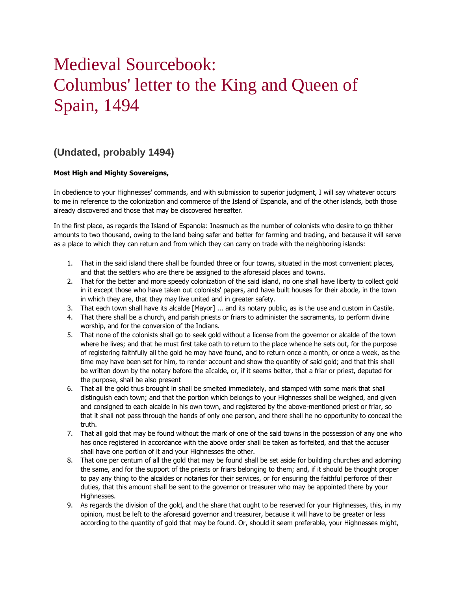## Medieval Sourcebook: Columbus' letter to the King and Queen of Spain, 1494

## **(Undated, probably 1494)**

## **Most High and Mighty Sovereigns,**

In obedience to your Highnesses' commands, and with submission to superior judgment, I will say whatever occurs to me in reference to the colonization and commerce of the Island of Espanola, and of the other islands, both those already discovered and those that may be discovered hereafter.

In the first place, as regards the Island of Espanola: Inasmuch as the number of colonists who desire to go thither amounts to two thousand, owing to the land being safer and better for farming and trading, and because it will serve as a place to which they can return and from which they can carry on trade with the neighboring islands:

- 1. That in the said island there shall be founded three or four towns, situated in the most convenient places, and that the settlers who are there be assigned to the aforesaid places and towns.
- 2. That for the better and more speedy colonization of the said island, no one shall have liberty to collect gold in it except those who have taken out colonists' papers, and have built houses for their abode, in the town in which they are, that they may live united and in greater safety.
- 3. That each town shall have its alcalde [Mayor] ... and its notary public, as is the use and custom in Castile.
- 4. That there shall be a church, and parish priests or friars to administer the sacraments, to perform divine worship, and for the conversion of the Indians.
- 5. That none of the colonists shall go to seek gold without a license from the governor or alcalde of the town where he lives; and that he must first take oath to return to the place whence he sets out, for the purpose of registering faithfully all the gold he may have found, and to return once a month, or once a week, as the time may have been set for him, to render account and show the quantity of said gold; and that this shall be written down by the notary before the aIcalde, or, if it seems better, that a friar or priest, deputed for the purpose, shall be also present
- 6. That all the gold thus brought in shall be smelted immediately, and stamped with some mark that shall distinguish each town; and that the portion which belongs to your Highnesses shall be weighed, and given and consigned to each alcalde in his own town, and registered by the above-mentioned priest or friar, so that it shall not pass through the hands of only one person, and there shall he no opportunity to conceal the truth.
- 7. That all gold that may be found without the mark of one of the said towns in the possession of any one who has once registered in accordance with the above order shall be taken as forfeited, and that the accuser shall have one portion of it and your Highnesses the other.
- 8. That one per centum of all the gold that may be found shall be set aside for building churches and adorning the same, and for the support of the priests or friars belonging to them; and, if it should be thought proper to pay any thing to the alcaldes or notaries for their services, or for ensuring the faithful perforce of their duties, that this amount shall be sent to the governor or treasurer who may be appointed there by your Highnesses.
- 9. As regards the division of the gold, and the share that ought to be reserved for your Highnesses, this, in my opinion, must be left to the aforesaid governor and treasurer, because it will have to be greater or less according to the quantity of gold that may be found. Or, should it seem preferable, your Highnesses might,